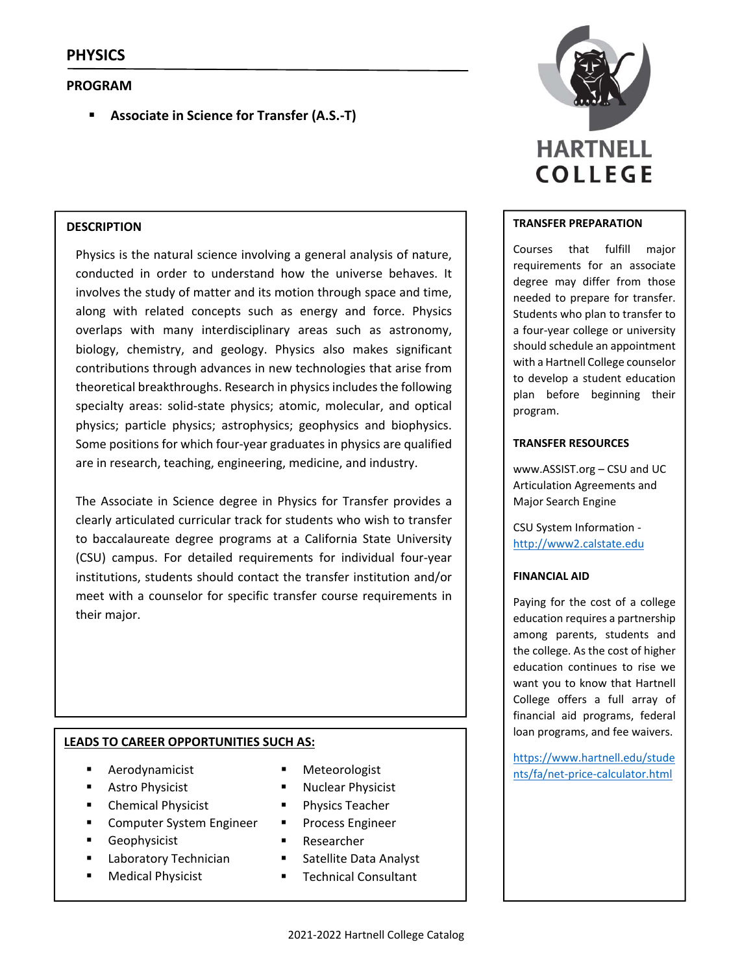# **PROGRAM**

**Associate in Science for Transfer (A.S.‐T)**

## **DESCRIPTION**

Physics is the natural science involving a general analysis of nature, conducted in order to understand how the universe behaves. It involves the study of matter and its motion through space and time, along with related concepts such as energy and force. Physics overlaps with many interdisciplinary areas such as astronomy, biology, chemistry, and geology. Physics also makes significant contributions through advances in new technologies that arise from theoretical breakthroughs. Research in physics includes the following specialty areas: solid-state physics; atomic, molecular, and optical physics; particle physics; astrophysics; geophysics and biophysics. Some positions for which four‐year graduates in physics are qualified are in research, teaching, engineering, medicine, and industry.

The Associate in Science degree in Physics for Transfer provides a clearly articulated curricular track for students who wish to transfer to baccalaureate degree programs at a California State University (CSU) campus. For detailed requirements for individual four‐year institutions, students should contact the transfer institution and/or meet with a counselor for specific transfer course requirements in their major.

## **LEADS TO CAREER OPPORTUNITIES SUCH AS:**

- Aerodynamicist
- **Astro Physicist**
- **E** Chemical Physicist
- Computer System Engineer
- Geophysicist
- Laboratory Technician
- Medical Physicist
- 
- **Nuclear Physicist**
- **Physics Teacher**
- **Process Engineer**
- **Researcher**
- **Satellite Data Analyst**
- **Technical Consultant**



#### **TRANSFER PREPARATION**

Courses that fulfill major requirements for an associate degree may differ from those needed to prepare for transfer. Students who plan to transfer to a four‐year college or university should schedule an appointment with a Hartnell College counselor to develop a student education plan before beginning their program.

#### **TRANSFER RESOURCES**

www.ASSIST.org – CSU and UC Articulation Agreements and Major Search Engine

CSU System Information ‐ http://www2.calstate.edu

## **FINANCIAL AID**

Paying for the cost of a college education requires a partnership among parents, students and the college. As the cost of higher education continues to rise we want you to know that Hartnell College offers a full array of financial aid programs, federal loan programs, and fee waivers.

https://www.hartnell.edu/stude Meteorologist and nts/fa/net-price-calculator.html